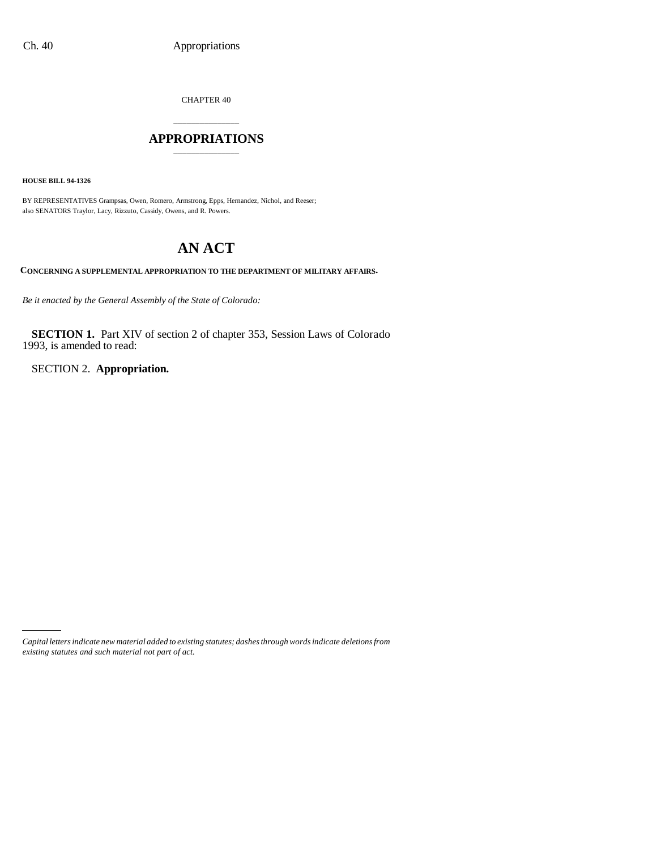CHAPTER 40

## \_\_\_\_\_\_\_\_\_\_\_\_\_\_\_ **APPROPRIATIONS** \_\_\_\_\_\_\_\_\_\_\_\_\_\_\_

**HOUSE BILL 94-1326**

BY REPRESENTATIVES Grampsas, Owen, Romero, Armstrong, Epps, Hernandez, Nichol, and Reeser; also SENATORS Traylor, Lacy, Rizzuto, Cassidy, Owens, and R. Powers.

# **AN ACT**

**CONCERNING A SUPPLEMENTAL APPROPRIATION TO THE DEPARTMENT OF MILITARY AFFAIRS.**

*Be it enacted by the General Assembly of the State of Colorado:*

**SECTION 1.** Part XIV of section 2 of chapter 353, Session Laws of Colorado 1993, is amended to read:

SECTION 2. **Appropriation.**

*Capital letters indicate new material added to existing statutes; dashes through words indicate deletions from existing statutes and such material not part of act.*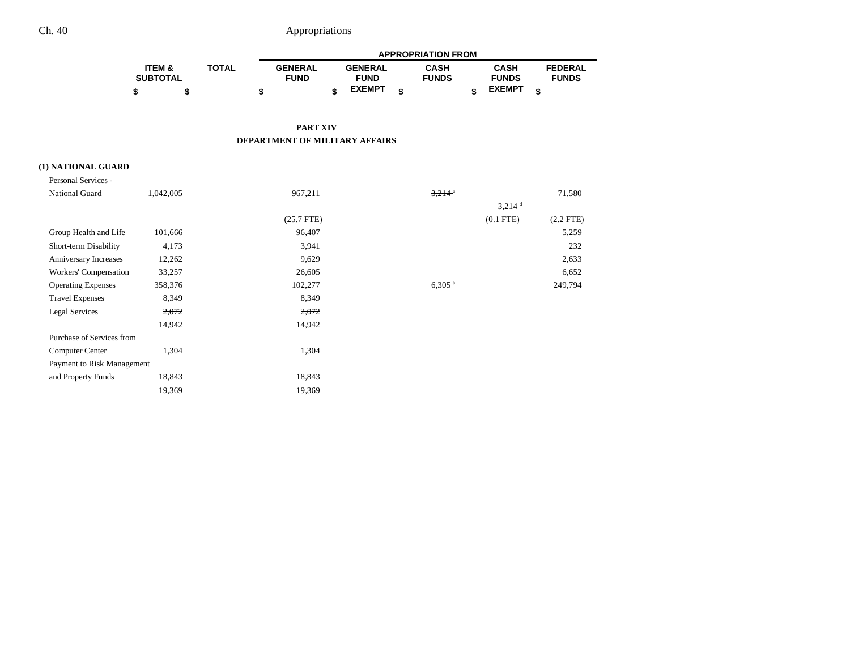# Ch. 40 Appropriations

|                   |              | <b>APPROPRIATION FROM</b> |  |                |  |              |  |               |   |                |
|-------------------|--------------|---------------------------|--|----------------|--|--------------|--|---------------|---|----------------|
| <b>ITEM &amp;</b> | <b>TOTAL</b> | <b>GENERAL</b>            |  | <b>GENERAL</b> |  | <b>CASH</b>  |  | <b>CASH</b>   |   | <b>FEDERAL</b> |
| <b>SUBTOTAL</b>   |              | <b>FUND</b>               |  | <b>FUND</b>    |  | <b>FUNDS</b> |  | <b>FUNDS</b>  |   | <b>FUNDS</b>   |
| \$                |              |                           |  | <b>EXEMPT</b>  |  |              |  | <b>EXEMPT</b> | ¢ |                |

#### **PART XIV DEPARTMENT OF MILITARY AFFAIRS**

#### **(1) NATIONAL GUARD**

| Personal Services -        |           |              |                      |                |
|----------------------------|-----------|--------------|----------------------|----------------|
| National Guard             | 1,042,005 | 967,211      | $3,214$ <sup>a</sup> | 71,580         |
|                            |           |              | $3,214$ <sup>d</sup> |                |
|                            |           | $(25.7$ FTE) | $(0.1$ FTE)          | $(2.2$ FTE $)$ |
| Group Health and Life      | 101,666   | 96,407       |                      | 5,259          |
| Short-term Disability      | 4,173     | 3,941        |                      | 232            |
| Anniversary Increases      | 12,262    | 9,629        |                      | 2,633          |
| Workers' Compensation      | 33,257    | 26,605       |                      | 6,652          |
| <b>Operating Expenses</b>  | 358,376   | 102,277      | $6,305$ <sup>a</sup> | 249,794        |
| <b>Travel Expenses</b>     | 8,349     | 8,349        |                      |                |
| <b>Legal Services</b>      | 2,072     | 2,072        |                      |                |
|                            | 14,942    | 14,942       |                      |                |
| Purchase of Services from  |           |              |                      |                |
| Computer Center            | 1,304     | 1,304        |                      |                |
| Payment to Risk Management |           |              |                      |                |
| and Property Funds         | 18,843    | 18,843       |                      |                |
|                            | 19,369    | 19,369       |                      |                |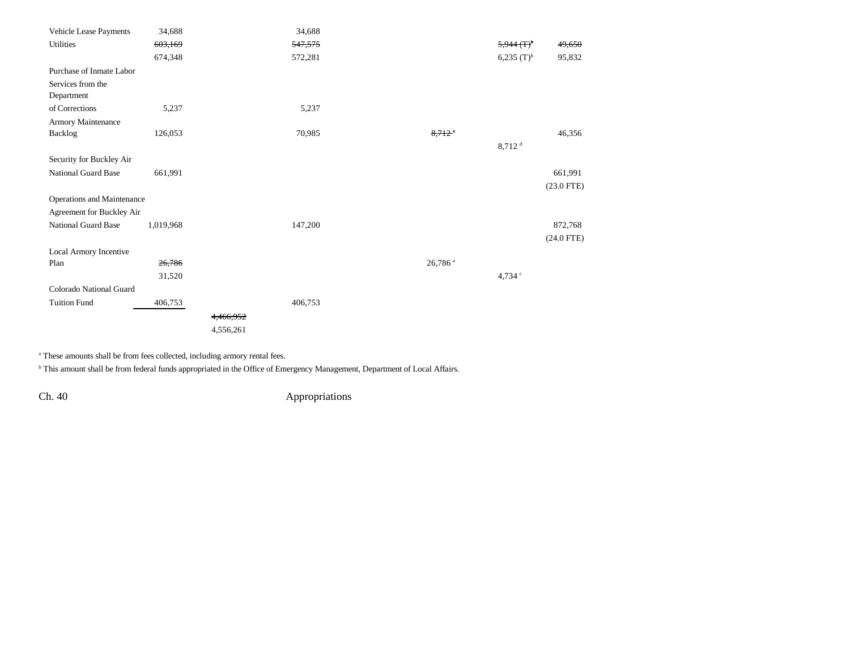| Vehicle Lease Payments     | 34,688    |           | 34,688  |                      |                             |              |
|----------------------------|-----------|-----------|---------|----------------------|-----------------------------|--------------|
| <b>Utilities</b>           | 603,169   |           | 547,575 |                      | $5,944$ $($ F) <sup>b</sup> | 49,650       |
|                            | 674,348   |           | 572,281 |                      | $6,235$ $(T)^{b}$           | 95,832       |
| Purchase of Inmate Labor   |           |           |         |                      |                             |              |
| Services from the          |           |           |         |                      |                             |              |
| Department                 |           |           |         |                      |                             |              |
| of Corrections             | 5,237     |           | 5,237   |                      |                             |              |
| Armory Maintenance         |           |           |         |                      |                             |              |
| Backlog                    | 126,053   |           | 70,985  | $8.712$ <sup>a</sup> |                             | 46,356       |
|                            |           |           |         |                      | $8,712$ <sup>d</sup>        |              |
| Security for Buckley Air   |           |           |         |                      |                             |              |
| <b>National Guard Base</b> | 661,991   |           |         |                      |                             | 661,991      |
|                            |           |           |         |                      |                             | $(23.0$ FTE) |
| Operations and Maintenance |           |           |         |                      |                             |              |
| Agreement for Buckley Air  |           |           |         |                      |                             |              |
| <b>National Guard Base</b> | 1,019,968 |           | 147,200 |                      |                             | 872,768      |
|                            |           |           |         |                      |                             | $(24.0$ FTE) |
| Local Armory Incentive     |           |           |         |                      |                             |              |
| Plan                       | 26,786    |           |         | 26,786 <sup>a</sup>  |                             |              |
|                            | 31,520    |           |         |                      | 4,734 c                     |              |
| Colorado National Guard    |           |           |         |                      |                             |              |
| <b>Tuition Fund</b>        | 406,753   |           | 406,753 |                      |                             |              |
|                            |           | 4,466,952 |         |                      |                             |              |
|                            |           | 4,556,261 |         |                      |                             |              |

<sup>a</sup> These amounts shall be from fees collected, including armory rental fees.

**b** This amount shall be from federal funds appropriated in the Office of Emergency Management, Department of Local Affairs.

Ch. 40 Appropriations